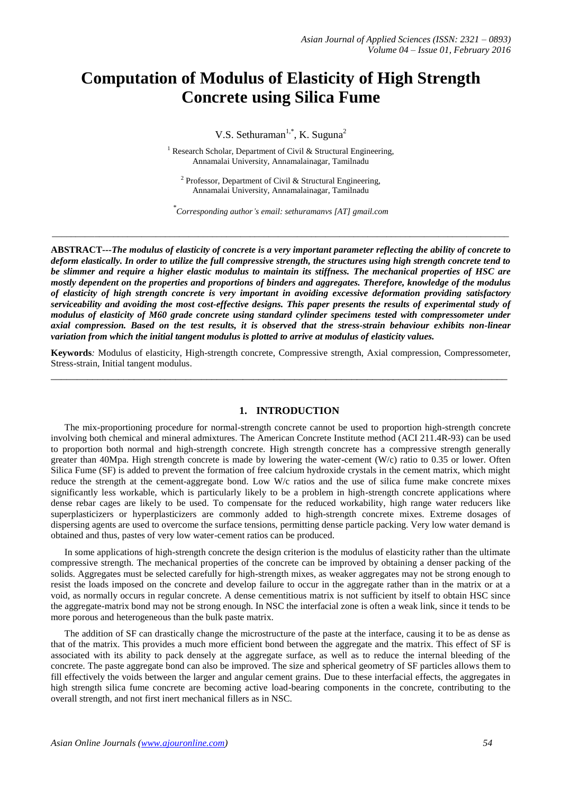# **Computation of Modulus of Elasticity of High Strength Concrete using Silica Fume**

V.S. Sethuraman<sup>1,\*</sup>, K. Suguna<sup>2</sup>

<sup>1</sup> Research Scholar, Department of Civil & Structural Engineering, Annamalai University, Annamalainagar, Tamilnadu

<sup>2</sup> Professor, Department of Civil & Structural Engineering, Annamalai University, Annamalainagar, Tamilnadu

\* *Corresponding author's email: sethuramanvs [AT] gmail.com*

 $\_$  ,  $\_$  ,  $\_$  ,  $\_$  ,  $\_$  ,  $\_$  ,  $\_$  ,  $\_$  ,  $\_$  ,  $\_$  ,  $\_$  ,  $\_$  ,  $\_$  ,  $\_$  ,  $\_$  ,  $\_$  ,  $\_$  ,  $\_$  ,  $\_$  ,  $\_$  ,  $\_$  ,  $\_$  ,  $\_$  ,  $\_$  ,  $\_$  ,  $\_$  ,  $\_$  ,  $\_$  ,  $\_$  ,  $\_$  ,  $\_$  ,  $\_$  ,  $\_$  ,  $\_$  ,  $\_$  ,  $\_$  ,  $\_$  ,

**ABSTRACT---***The modulus of elasticity of concrete is a very important parameter reflecting the ability of concrete to deform elastically. In order to utilize the full compressive strength, the structures using high strength concrete tend to be slimmer and require a higher elastic modulus to maintain its stiffness. The mechanical properties of HSC are mostly dependent on the properties and proportions of binders and aggregates. Therefore, knowledge of the modulus of elasticity of high strength concrete is very important in avoiding excessive deformation providing satisfactory serviceability and avoiding the most cost-effective designs. This paper presents the results of experimental study of modulus of elasticity of M60 grade concrete using standard cylinder specimens tested with compressometer under axial compression. Based on the test results, it is observed that the stress-strain behaviour exhibits non-linear variation from which the initial tangent modulus is plotted to arrive at modulus of elasticity values.*

**Keywords***:* Modulus of elasticity, High-strength concrete, Compressive strength, Axial compression, Compressometer, Stress-strain, Initial tangent modulus. *\_\_\_\_\_\_\_\_\_\_\_\_\_\_\_\_\_\_\_\_\_\_\_\_\_\_\_\_\_\_\_\_\_\_\_\_\_\_\_\_\_\_\_\_\_\_\_\_\_\_\_\_\_\_\_\_\_\_\_\_\_\_\_\_\_\_\_\_\_\_\_\_\_\_\_\_\_\_\_\_\_\_\_\_\_\_\_\_*

# **1. INTRODUCTION**

The mix-proportioning procedure for normal-strength concrete cannot be used to proportion high-strength concrete involving both chemical and mineral admixtures. The American Concrete Institute method (ACI 211.4R-93) can be used to proportion both normal and high-strength concrete. High strength concrete has a compressive strength generally greater than 40Mpa. High strength concrete is made by lowering the water-cement (W/c) ratio to 0.35 or lower. Often Silica Fume (SF) is added to prevent the formation of free calcium hydroxide crystals in the cement matrix, which might reduce the strength at the cement-aggregate bond. Low W/c ratios and the use of silica fume make concrete mixes significantly less workable, which is particularly likely to be a problem in high-strength concrete applications where dense rebar cages are likely to be used. To compensate for the reduced workability, high range water reducers like superplasticizers or hyperplasticizers are commonly added to high-strength concrete mixes. Extreme dosages of dispersing agents are used to overcome the surface tensions, permitting dense particle packing. Very low water demand is obtained and thus, pastes of very low water-cement ratios can be produced.

In some applications of high-strength concrete the design criterion is the modulus of elasticity rather than the ultimate compressive strength. The mechanical properties of the concrete can be improved by obtaining a denser packing of the solids. Aggregates must be selected carefully for high-strength mixes, as weaker aggregates may not be strong enough to resist the loads imposed on the concrete and develop failure to occur in the aggregate rather than in the matrix or at a void, as normally occurs in regular concrete. A dense cementitious matrix is not sufficient by itself to obtain HSC since the aggregate-matrix bond may not be strong enough. In NSC the interfacial zone is often a weak link, since it tends to be more porous and heterogeneous than the bulk paste matrix.

The addition of SF can drastically change the microstructure of the paste at the interface, causing it to be as dense as that of the matrix. This provides a much more efficient bond between the aggregate and the matrix. This effect of SF is associated with its ability to pack densely at the aggregate surface, as well as to reduce the internal bleeding of the concrete. The paste aggregate bond can also be improved. The size and spherical geometry of SF particles allows them to fill effectively the voids between the larger and angular cement grains. Due to these interfacial effects, the aggregates in high strength silica fume concrete are becoming active load-bearing components in the concrete, contributing to the overall strength, and not first inert mechanical fillers as in NSC.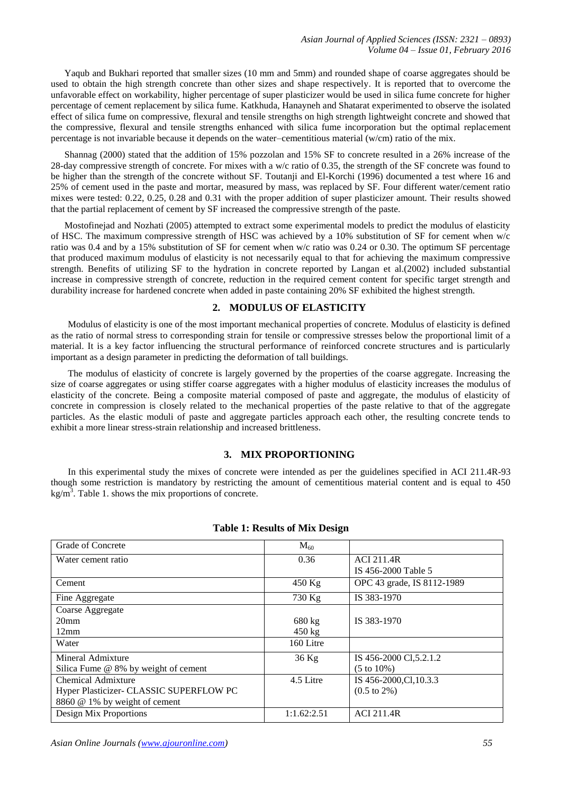Yaqub and Bukhari reported that smaller sizes (10 mm and 5mm) and rounded shape of coarse aggregates should be used to obtain the high strength concrete than other sizes and shape respectively. It is reported that to overcome the unfavorable effect on workability, higher percentage of super plasticizer would be used in silica fume concrete for higher percentage of cement replacement by silica fume. Katkhuda, Hanayneh and Shatarat experimented to observe the isolated effect of silica fume on compressive, flexural and tensile strengths on high strength lightweight concrete and showed that the compressive, flexural and tensile strengths enhanced with silica fume incorporation but the optimal replacement percentage is not invariable because it depends on the water–cementitious material (w/cm) ratio of the mix.

Shannag (2000) stated that the addition of 15% pozzolan and 15% SF to concrete resulted in a 26% increase of the 28-day compressive strength of concrete. For mixes with a w/c ratio of 0.35, the strength of the SF concrete was found to be higher than the strength of the concrete without SF. Toutanji and El-Korchi (1996) documented a test where 16 and 25% of cement used in the paste and mortar, measured by mass, was replaced by SF. Four different water/cement ratio mixes were tested: 0.22, 0.25, 0.28 and 0.31 with the proper addition of super plasticizer amount. Their results showed that the partial replacement of cement by SF increased the compressive strength of the paste.

Mostofinejad and Nozhati (2005) attempted to extract some experimental models to predict the modulus of elasticity of HSC. The maximum compressive strength of HSC was achieved by a 10% substitution of SF for cement when w/c ratio was 0.4 and by a 15% substitution of SF for cement when w/c ratio was 0.24 or 0.30. The optimum SF percentage that produced maximum modulus of elasticity is not necessarily equal to that for achieving the maximum compressive strength. Benefits of utilizing SF to the hydration in concrete reported by Langan et al.(2002) included substantial increase in compressive strength of concrete, reduction in the required cement content for specific target strength and durability increase for hardened concrete when added in paste containing 20% SF exhibited the highest strength.

# **2. MODULUS OF ELASTICITY**

Modulus of elasticity is one of the most important mechanical properties of concrete. Modulus of elasticity is defined as the ratio of normal stress to corresponding strain for tensile or compressive stresses below the proportional limit of a material. It is a key factor influencing the structural performance of reinforced concrete structures and is particularly important as a design parameter in predicting the deformation of tall buildings.

The modulus of elasticity of concrete is largely governed by the properties of the coarse aggregate. Increasing the size of coarse aggregates or using stiffer coarse aggregates with a higher modulus of elasticity increases the modulus of elasticity of the concrete. Being a composite material composed of paste and aggregate, the modulus of elasticity of concrete in compression is closely related to the mechanical properties of the paste relative to that of the aggregate particles. As the elastic moduli of paste and aggregate particles approach each other, the resulting concrete tends to exhibit a more linear stress-strain relationship and increased brittleness.

## **3. MIX PROPORTIONING**

In this experimental study the mixes of concrete were intended as per the guidelines specified in ACI 211.4R-93 though some restriction is mandatory by restricting the amount of cementitious material content and is equal to 450  $\text{kg/m}^3$ . Table 1. shows the mix proportions of concrete.

| Grade of Concrete                       | $M_{60}$         |                            |
|-----------------------------------------|------------------|----------------------------|
| Water cement ratio                      | 0.36             | <b>ACI 211.4R</b>          |
|                                         |                  | IS 456-2000 Table 5        |
| Cement                                  | $450$ Kg         | OPC 43 grade, IS 8112-1989 |
| Fine Aggregate                          | $730$ Kg         | IS 383-1970                |
| Coarse Aggregate                        |                  |                            |
| 20 <sub>mm</sub>                        | 680 kg           | IS 383-1970                |
| 12mm                                    | $450 \text{ kg}$ |                            |
| Water                                   | 160 Litre        |                            |
| Mineral Admixture                       | 36 Kg            | IS 456-2000 Cl, 5.2.1.2    |
| Silica Fume $@$ 8% by weight of cement  |                  | $(5 \text{ to } 10\%)$     |
| Chemical Admixture                      | 4.5 Litre        | IS 456-2000, Cl, 10.3.3    |
| Hyper Plasticizer- CLASSIC SUPERFLOW PC |                  | $(0.5 \text{ to } 2\%)$    |
| 8860 @ 1% by weight of cement           |                  |                            |
| Design Mix Proportions                  | 1:1.62:2.51      | <b>ACI 211.4R</b>          |

### **Table 1: Results of Mix Design**

*Asian Online Journals (www.ajouronline.com) 55*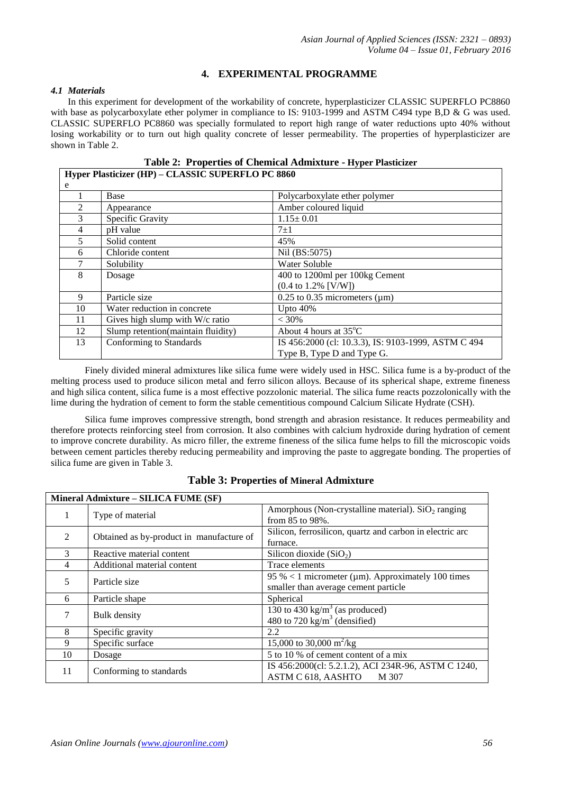# **4. EXPERIMENTAL PROGRAMME**

# *4.1 Materials*

In this experiment for development of the workability of concrete, hyperplasticizer CLASSIC SUPERFLO PC8860 with base as polycarboxylate ether polymer in compliance to IS: 9103-1999 and ASTM C494 type B,D & G was used. CLASSIC SUPERFLO PC8860 was specially formulated to report high range of water reductions upto 40% without losing workability or to turn out high quality concrete of lesser permeability. The properties of hyperplasticizer are shown in Table 2.

**Table 2: Properties of Chemical Admixture - Hyper Plasticizer**

| Hyper Plasticizer (HP) – CLASSIC SUPERFLO PC 8860 |                                    |                                                     |  |
|---------------------------------------------------|------------------------------------|-----------------------------------------------------|--|
| e                                                 |                                    |                                                     |  |
|                                                   | Base                               | Polycarboxylate ether polymer                       |  |
| 2                                                 | Appearance                         | Amber coloured liquid                               |  |
| 3                                                 | Specific Gravity                   | $1.15 \pm 0.01$                                     |  |
| 4                                                 | pH value                           | $7 + 1$                                             |  |
| 5                                                 | Solid content                      | 45%                                                 |  |
| 6                                                 | Chloride content                   | Nil (BS:5075)                                       |  |
| 7                                                 | Solubility                         | Water Soluble                                       |  |
| 8                                                 | Dosage                             | 400 to 1200ml per 100kg Cement                      |  |
|                                                   |                                    | $(0.4 \text{ to } 1.2\% \text{ [V/W]})$             |  |
| 9                                                 | Particle size                      | $0.25$ to 0.35 micrometers ( $\mu$ m)               |  |
| 10                                                | Water reduction in concrete        | Upto $40\%$                                         |  |
| 11                                                | Gives high slump with W/c ratio    | $< 30\%$                                            |  |
| 12                                                | Slump retention(maintain fluidity) | About 4 hours at $35^{\circ}$ C                     |  |
| 13                                                | Conforming to Standards            | IS 456:2000 (cl: 10.3.3), IS: 9103-1999, ASTM C 494 |  |
|                                                   |                                    | Type B, Type D and Type G.                          |  |

Finely divided mineral admixtures like silica fume were widely used in HSC. Silica fume is a by-product of the melting process used to produce silicon metal and ferro silicon alloys. Because of its spherical shape, extreme fineness and high silica content, silica fume is a most effective pozzolonic material. The silica fume reacts pozzolonically with the lime during the hydration of cement to form the stable cementitious compound Calcium Silicate Hydrate (CSH).

Silica fume improves compressive strength, bond strength and abrasion resistance. It reduces permeability and therefore protects reinforcing steel from corrosion. It also combines with calcium hydroxide during hydration of cement to improve concrete durability. As micro filler, the extreme fineness of the silica fume helps to fill the microscopic voids between cement particles thereby reducing permeability and improving the paste to aggregate bonding. The properties of silica fume are given in Table 3.

|                | Mineral Admixture - SILICA FUME (SF)     |                                                                                                          |  |  |  |
|----------------|------------------------------------------|----------------------------------------------------------------------------------------------------------|--|--|--|
|                | Type of material                         | Amorphous (Non-crystalline material). $SiO2$ ranging<br>from 85 to 98%.                                  |  |  |  |
| 2              | Obtained as by-product in manufacture of | Silicon, ferrosilicon, quartz and carbon in electric arc<br>furnace.                                     |  |  |  |
| 3              | Reactive material content                | Silicon dioxide $(SiO2)$                                                                                 |  |  |  |
| $\overline{4}$ | Additional material content              | Trace elements                                                                                           |  |  |  |
| 5              | Particle size                            | 95 % < 1 micrometer ( $\mu$ m). Approximately 100 times<br>smaller than average cement particle          |  |  |  |
| 6              | Particle shape                           | Spherical                                                                                                |  |  |  |
| 7              | Bulk density                             | $\frac{130 \text{ to } 430 \text{ kg/m}^3}{2}$ (as produced)<br>480 to 720 kg/m <sup>3</sup> (densified) |  |  |  |
| 8              | Specific gravity                         | 2.2                                                                                                      |  |  |  |
| 9              | Specific surface                         | 15,000 to 30,000 m <sup>2</sup> /kg                                                                      |  |  |  |
| 10             | Dosage                                   | 5 to 10 % of cement content of a mix                                                                     |  |  |  |
| 11             | Conforming to standards                  | IS 456:2000(cl: 5.2.1.2), ACI 234R-96, ASTM C 1240,<br>ASTM C 618, AASHTO<br>M 307                       |  |  |  |

# **Table 3: Properties of Mineral Admixture**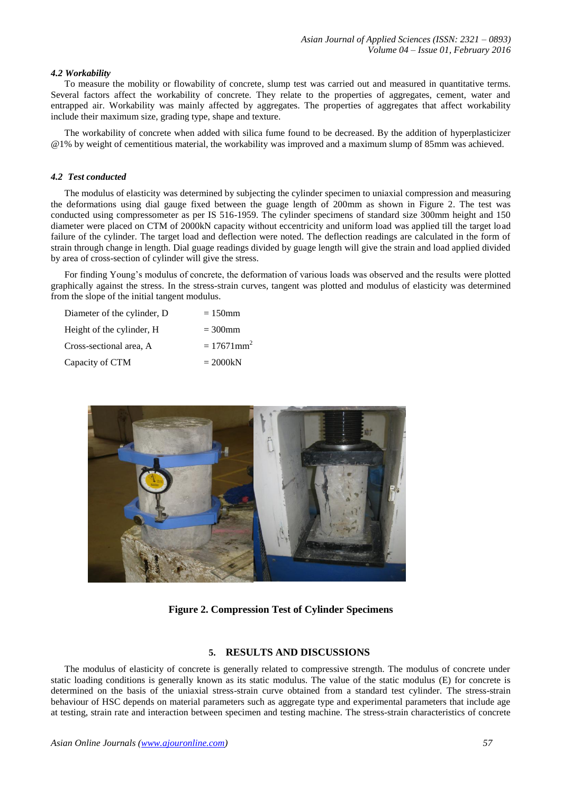#### *4.2 Workability*

To measure the mobility or flowability of concrete, slump test was carried out and measured in quantitative terms. Several factors affect the workability of concrete. They relate to the properties of aggregates, cement, water and entrapped air. Workability was mainly affected by aggregates. The properties of aggregates that affect workability include their maximum size, grading type, shape and texture.

The workability of concrete when added with silica fume found to be decreased. By the addition of hyperplasticizer @1% by weight of cementitious material, the workability was improved and a maximum slump of 85mm was achieved.

#### *4.2 Test conducted*

The modulus of elasticity was determined by subjecting the cylinder specimen to uniaxial compression and measuring the deformations using dial gauge fixed between the guage length of 200mm as shown in Figure 2. The test was conducted using compressometer as per IS 516-1959. The cylinder specimens of standard size 300mm height and 150 diameter were placed on CTM of 2000kN capacity without eccentricity and uniform load was applied till the target load failure of the cylinder. The target load and deflection were noted. The deflection readings are calculated in the form of strain through change in length. Dial guage readings divided by guage length will give the strain and load applied divided by area of cross-section of cylinder will give the stress.

For finding Young's modulus of concrete, the deformation of various loads was observed and the results were plotted graphically against the stress. In the stress-strain curves, tangent was plotted and modulus of elasticity was determined from the slope of the initial tangent modulus.

| Diameter of the cylinder, D | $=150$ mm                 |
|-----------------------------|---------------------------|
| Height of the cylinder, H   | $=300$ mm                 |
| Cross-sectional area, A     | $= 17671$ mm <sup>2</sup> |
| Capacity of CTM             | $= 2000kN$                |



**Figure 2. Compression Test of Cylinder Specimens**

#### **5. RESULTS AND DISCUSSIONS**

The modulus of elasticity of concrete is generally related to compressive strength. The modulus of concrete under static loading conditions is generally known as its static modulus. The value of the static modulus (E) for concrete is determined on the basis of the uniaxial stress-strain curve obtained from a standard test cylinder. The stress-strain behaviour of HSC depends on material parameters such as aggregate type and experimental parameters that include age at testing, strain rate and interaction between specimen and testing machine. The stress-strain characteristics of concrete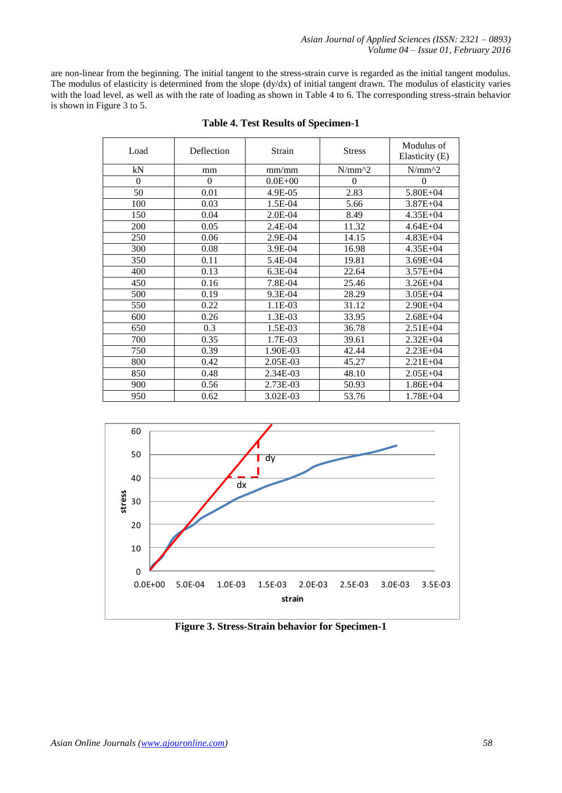are non-linear from the beginning. The initial tangent to the stress-strain curve is regarded as the initial tangent modulus. The modulus of elasticity is determined from the slope (dy/dx) of initial tangent drawn. The modulus of elasticity varies with the load level, as well as with the rate of loading as shown in Table 4 to 6. The corresponding stress-strain behavior is shown in Figure 3 to 5.

| Load     | Deflection | Strain       | <b>Stress</b> | Modulus of<br>Elasticity (E) |
|----------|------------|--------------|---------------|------------------------------|
| kN       | mm         | mm/mm        | $N/mm^2$      | $N/mm^2$                     |
| $\theta$ | $\theta$   | $0.0E + 00$  | $\theta$      | $\theta$                     |
| 50       | 0.01       | $4.9E - 0.5$ | 2.83          | $5.80E + 04$                 |
| 100      | 0.03       | 1.5E-04      | 5.66          | $3.87E + 04$                 |
| 150      | 0.04       | $2.0E-04$    | 8.49          | $4.35E + 04$                 |
| 200      | 0.05       | 2.4E-04      | 11.32         | $4.64E + 04$                 |
| 250      | 0.06       | 2.9E-04      | 14.15         | $4.83E + 04$                 |
| 300      | 0.08       | 3.9E-04      | 16.98         | $4.35E + 04$                 |
| 350      | 0.11       | 5.4E-04      | 19.81         | $3.69E + 04$                 |
| 400      | 0.13       | 6.3E-04      | 22.64         | $3.57E + 04$                 |
| 450      | 0.16       | 7.8E-04      | 25.46         | $3.26E + 04$                 |
| 500      | 0.19       | 9.3E-04      | 28.29         | $3.05E + 04$                 |
| 550      | 0.22       | 1.1E-03      | 31.12         | $2.90E + 04$                 |
| 600      | 0.26       | 1.3E-03      | 33.95         | $2.68E + 04$                 |
| 650      | 0.3        | 1.5E-03      | 36.78         | $2.51E + 04$                 |
| 700      | 0.35       | 1.7E-03      | 39.61         | $2.32E + 04$                 |
| 750      | 0.39       | 1.90E-03     | 42.44         | $2.23E + 04$                 |
| 800      | 0.42       | 2.05E-03     | 45.27         | $2.21E + 04$                 |
| 850      | 0.48       | 2.34E-03     | 48.10         | $2.05E + 04$                 |
| 900      | 0.56       | 2.73E-03     | 50.93         | $1.86E + 04$                 |
| 950      | 0.62       | 3.02E-03     | 53.76         | $1.78E + 04$                 |

# **Table 4. Test Results of Specimen-1**



**Figure 3. Stress-Strain behavior for Specimen-1**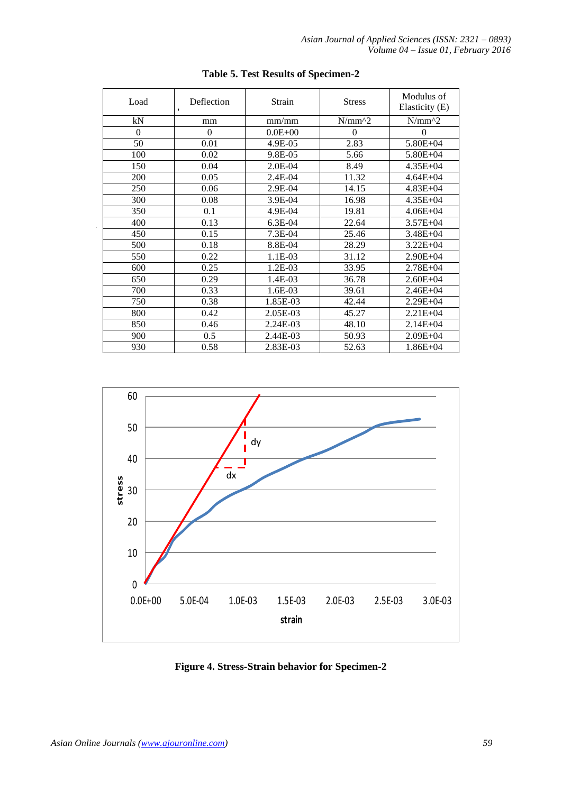| Load     | Deflection<br>$\mathbf{I}$ | Strain      | <b>Stress</b> | Modulus of<br>Elasticity (E) |
|----------|----------------------------|-------------|---------------|------------------------------|
| kN       | mm                         | mm/mm       | $N/mm^2$      | $N/mm^2$                     |
| $\theta$ | $\theta$                   | $0.0E + 00$ | $\theta$      | $\theta$                     |
| 50       | 0.01                       | 4.9E-05     | 2.83          | $5.80E + 04$                 |
| 100      | 0.02                       | 9.8E-05     | 5.66          | $5.80E + 04$                 |
| 150      | 0.04                       | $2.0E-04$   | 8.49          | $4.35E + 04$                 |
| 200      | 0.05                       | 2.4E-04     | 11.32         | $4.64E + 04$                 |
| 250      | 0.06                       | 2.9E-04     | 14.15         | $4.83E + 04$                 |
| 300      | 0.08                       | 3.9E-04     | 16.98         | $4.35E + 04$                 |
| 350      | 0.1                        | 4.9E-04     | 19.81         | $4.06E + 04$                 |
| 400      | 0.13                       | 6.3E-04     | 22.64         | $3.57E + 04$                 |
| 450      | 0.15                       | $7.3E-04$   | 25.46         | $3.48E + 04$                 |
| 500      | 0.18                       | 8.8E-04     | 28.29         | $3.22E + 04$                 |
| 550      | 0.22                       | 1.1E-03     | 31.12         | $2.90E + 04$                 |
| 600      | 0.25                       | $1.2E-03$   | 33.95         | $2.78E + 04$                 |
| 650      | 0.29                       | 1.4E-03     | 36.78         | $2.60E + 04$                 |
| 700      | 0.33                       | $1.6E-03$   | 39.61         | $2.46E + 04$                 |
| 750      | 0.38                       | 1.85E-03    | 42.44         | $2.29E + 04$                 |
| 800      | 0.42                       | 2.05E-03    | 45.27         | $2.21E + 04$                 |
| 850      | 0.46                       | 2.24E-03    | 48.10         | $2.14E + 04$                 |
| 900      | 0.5                        | 2.44E-03    | 50.93         | $2.09E + 04$                 |
| 930      | 0.58                       | 2.83E-03    | 52.63         | $1.86E + 04$                 |

# **Table 5. Test Results of Specimen-2**



**Figure 4. Stress-Strain behavior for Specimen-2**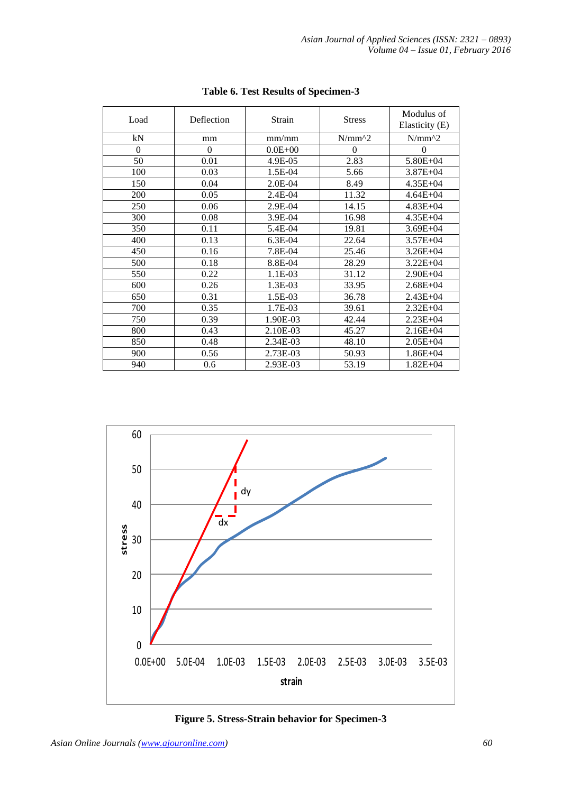| Load     | Deflection | Strain      | <b>Stress</b> | Modulus of<br>Elasticity (E) |
|----------|------------|-------------|---------------|------------------------------|
| kN       | mm         | mm/mm       | $N/mm^2$      | $N/mm^2$                     |
| $\Omega$ | $\Omega$   | $0.0E + 00$ | $\theta$      | $\theta$                     |
| 50       | 0.01       | 4.9E-05     | 2.83          | 5.80E+04                     |
| 100      | 0.03       | 1.5E-04     | 5.66          | $3.87E + 04$                 |
| 150      | 0.04       | $2.0E-04$   | 8.49          | $4.35E + 04$                 |
| 200      | 0.05       | $2.4E-04$   | 11.32         | $4.64E + 04$                 |
| 250      | 0.06       | 2.9E-04     | 14.15         | $4.83E + 04$                 |
| 300      | 0.08       | 3.9E-04     | 16.98         | $4.35E + 04$                 |
| 350      | 0.11       | 5.4E-04     | 19.81         | $3.69E + 04$                 |
| 400      | 0.13       | 6.3E-04     | 22.64         | $3.57E + 04$                 |
| 450      | 0.16       | 7.8E-04     | 25.46         | $3.26E + 04$                 |
| 500      | 0.18       | 8.8E-04     | 28.29         | $3.22E + 04$                 |
| 550      | 0.22       | 1.1E-03     | 31.12         | $2.90E + 04$                 |
| 600      | 0.26       | 1.3E-03     | 33.95         | $2.68E + 04$                 |
| 650      | 0.31       | 1.5E-03     | 36.78         | $2.43E + 04$                 |
| 700      | 0.35       | 1.7E-03     | 39.61         | $2.32E + 04$                 |
| 750      | 0.39       | 1.90E-03    | 42.44         | $2.23E + 04$                 |
| 800      | 0.43       | 2.10E-03    | 45.27         | $2.16E + 04$                 |
| 850      | 0.48       | 2.34E-03    | 48.10         | $2.05E + 04$                 |
| 900      | 0.56       | 2.73E-03    | 50.93         | $1.86E + 04$                 |
| 940      | 0.6        | 2.93E-03    | 53.19         | $1.82E + 04$                 |

**Table 6. Test Results of Specimen-3**



**Figure 5. Stress-Strain behavior for Specimen-3**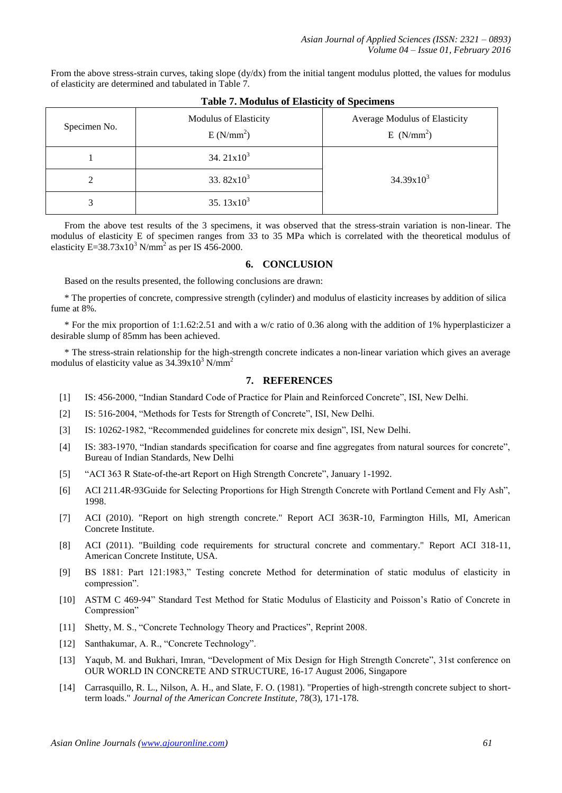From the above stress-strain curves, taking slope (dy/dx) from the initial tangent modulus plotted, the values for modulus of elasticity are determined and tabulated in Table 7.

| Tuble ", habumub of Enublicity" of Decembers |                                                |                                                        |  |
|----------------------------------------------|------------------------------------------------|--------------------------------------------------------|--|
| Specimen No.                                 | Modulus of Elasticity<br>E(N/mm <sup>2</sup> ) | Average Modulus of Elasticity<br>E(N/mm <sup>2</sup> ) |  |
|                                              | 34. $21x10^3$                                  |                                                        |  |
|                                              | 33.82 $x10^3$<br>$34.39x10^3$                  |                                                        |  |
|                                              | 35.13 $x10^3$                                  |                                                        |  |

**Table 7. Modulus of Elasticity of Specimens**

From the above test results of the 3 specimens, it was observed that the stress-strain variation is non-linear. The modulus of elasticity E of specimen ranges from 33 to 35 MPa which is correlated with the theoretical modulus of elasticity E=38.73 $x10^3$  N/mm<sup>2</sup> as per IS 456-2000.

# **6. CONCLUSION**

Based on the results presented, the following conclusions are drawn:

\* The properties of concrete, compressive strength (cylinder) and modulus of elasticity increases by addition of silica fume at 8%.

\* For the mix proportion of 1:1.62:2.51 and with a w/c ratio of 0.36 along with the addition of 1% hyperplasticizer a desirable slump of 85mm has been achieved.

\* The stress-strain relationship for the high-strength concrete indicates a non-linear variation which gives an average modulus of elasticity value as  $34.39 \times 10^3$  N/mm<sup>2</sup>

### **7. REFERENCES**

- [1] IS: 456-2000, "Indian Standard Code of Practice for Plain and Reinforced Concrete", ISI, New Delhi.
- [2] IS: 516-2004, "Methods for Tests for Strength of Concrete", ISI, New Delhi.
- [3] IS: 10262-1982, "Recommended guidelines for concrete mix design", ISI, New Delhi.
- [4] IS: 383-1970, "Indian standards specification for coarse and fine aggregates from natural sources for concrete", Bureau of Indian Standards, New Delhi
- [5] "ACI 363 R State-of-the-art Report on High Strength Concrete", January 1-1992.
- [6] ACI 211.4R-93Guide for Selecting Proportions for High Strength Concrete with Portland Cement and Fly Ash", 1998.
- [7] ACI (2010). "Report on high strength concrete." Report ACI 363R-10, Farmington Hills, MI, American Concrete Institute.
- [8] ACI (2011). "Building code requirements for structural concrete and commentary." Report ACI 318-11, American Concrete Institute, USA.
- [9] BS 1881: Part 121:1983," Testing concrete Method for determination of static modulus of elasticity in compression".
- [10] ASTM C 469-94" Standard Test Method for Static Modulus of Elasticity and Poisson's Ratio of Concrete in Compression"
- [11] Shetty, M. S., "Concrete Technology Theory and Practices", Reprint 2008.
- [12] Santhakumar, A. R., "Concrete Technology".
- [13] Yaqub, M. and Bukhari, Imran, "Development of Mix Design for High Strength Concrete", 31st conference on OUR WORLD IN CONCRETE AND STRUCTURE, 16-17 August 2006, Singapore
- [14] Carrasquillo, R. L., Nilson, A. H., and Slate, F. O. (1981). "Properties of high-strength concrete subject to shortterm loads." *Journal of the American Concrete Institute*, 78(3), 171-178.